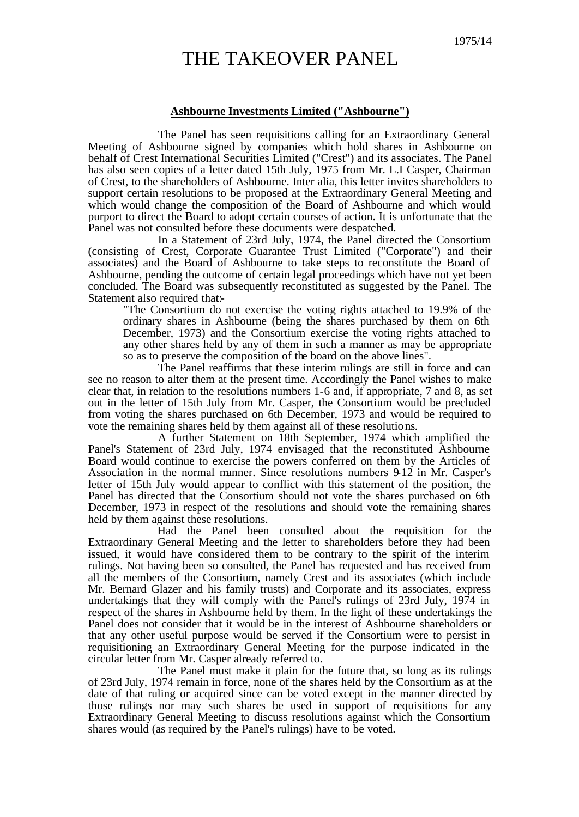## THE TAKEOVER PANEL

## **Ashbourne Investments Limited ("Ashbourne")**

The Panel has seen requisitions calling for an Extraordinary General Meeting of Ashbourne signed by companies which hold shares in Ashbourne on behalf of Crest International Securities Limited ("Crest") and its associates. The Panel has also seen copies of a letter dated 15th July, 1975 from Mr. L.I Casper, Chairman of Crest, to the shareholders of Ashbourne. Inter alia, this letter invites shareholders to support certain resolutions to be proposed at the Extraordinary General Meeting and which would change the composition of the Board of Ashbourne and which would purport to direct the Board to adopt certain courses of action. It is unfortunate that the Panel was not consulted before these documents were despatched.

In a Statement of 23rd July, 1974, the Panel directed the Consortium (consisting of Crest, Corporate Guarantee Trust Limited ("Corporate") and their associates) and the Board of Ashbourne to take steps to reconstitute the Board of Ashbourne, pending the outcome of certain legal proceedings which have not yet been concluded. The Board was subsequently reconstituted as suggested by the Panel. The Statement also required that:-

"The Consortium do not exercise the voting rights attached to 19.9% of the ordinary shares in Ashbourne (being the shares purchased by them on 6th December, 1973) and the Consortium exercise the voting rights attached to any other shares held by any of them in such a manner as may be appropriate so as to preserve the composition of the board on the above lines".

The Panel reaffirms that these interim rulings are still in force and can see no reason to alter them at the present time. Accordingly the Panel wishes to make clear that, in relation to the resolutions numbers 1-6 and, if appropriate, 7 and 8, as set out in the letter of 15th July from Mr. Casper, the Consortium would be precluded from voting the shares purchased on 6th December, 1973 and would be required to vote the remaining shares held by them against all of these resolutions.

A further Statement on 18th September, 1974 which amplified the Panel's Statement of 23rd July, 1974 envisaged that the reconstituted Ashbourne Board would continue to exercise the powers conferred on them by the Articles of Association in the normal manner. Since resolutions numbers 9-12 in Mr. Casper's letter of 15th July would appear to conflict with this statement of the position, the Panel has directed that the Consortium should not vote the shares purchased on 6th December, 1973 in respect of the resolutions and should vote the remaining shares held by them against these resolutions.

Had the Panel been consulted about the requisition for the Extraordinary General Meeting and the letter to shareholders before they had been issued, it would have considered them to be contrary to the spirit of the interim rulings. Not having been so consulted, the Panel has requested and has received from all the members of the Consortium, namely Crest and its associates (which include Mr. Bernard Glazer and his family trusts) and Corporate and its associates, express undertakings that they will comply with the Panel's rulings of 23rd July, 1974 in respect of the shares in Ashbourne held by them. In the light of these undertakings the Panel does not consider that it would be in the interest of Ashbourne shareholders or that any other useful purpose would be served if the Consortium were to persist in requisitioning an Extraordinary General Meeting for the purpose indicated in the circular letter from Mr. Casper already referred to.

The Panel must make it plain for the future that, so long as its rulings of 23rd July, 1974 remain in force, none of the shares held by the Consortium as at the date of that ruling or acquired since can be voted except in the manner directed by those rulings nor may such shares be used in support of requisitions for any Extraordinary General Meeting to discuss resolutions against which the Consortium shares would (as required by the Panel's rulings) have to be voted.